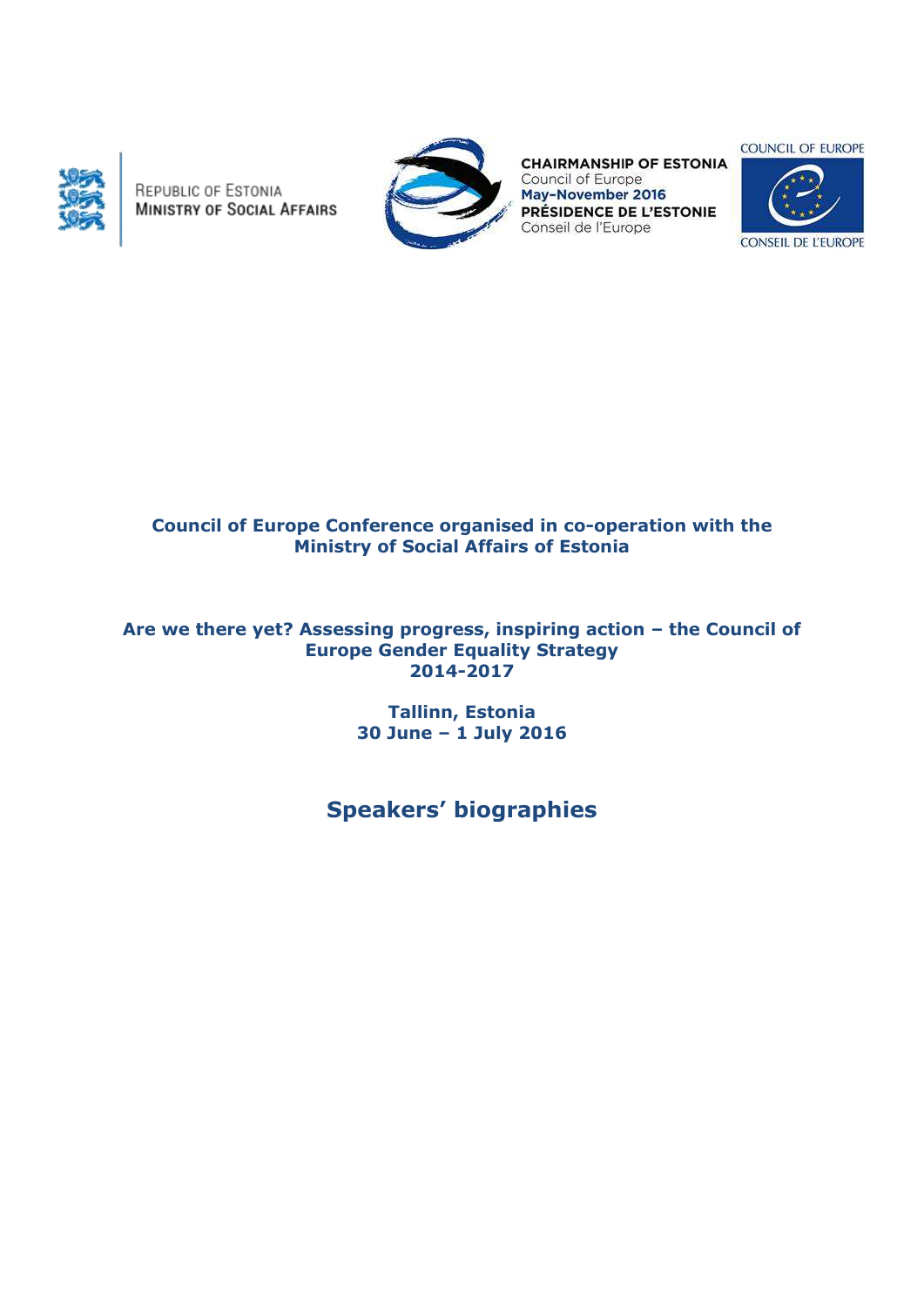

REPUBLIC OF ESTONIA **MINISTRY OF SOCIAL AFFAIRS** 



**CHAIRMANSHIP OF ESTONIA** Council of Europe May-November 2016 PRÉSIDENCE DE L'ESTONIE Conseil de l'Europe

**COUNCIL OF EUROPE** 



# **Council of Europe Conference organised in co-operation with the Ministry of Social Affairs of Estonia**

## **Are we there yet? Assessing progress, inspiring action – the Council of Europe Gender Equality Strategy 2014-2017**

**Tallinn, Estonia 30 June – 1 July 2016**

**Speakers' biographies**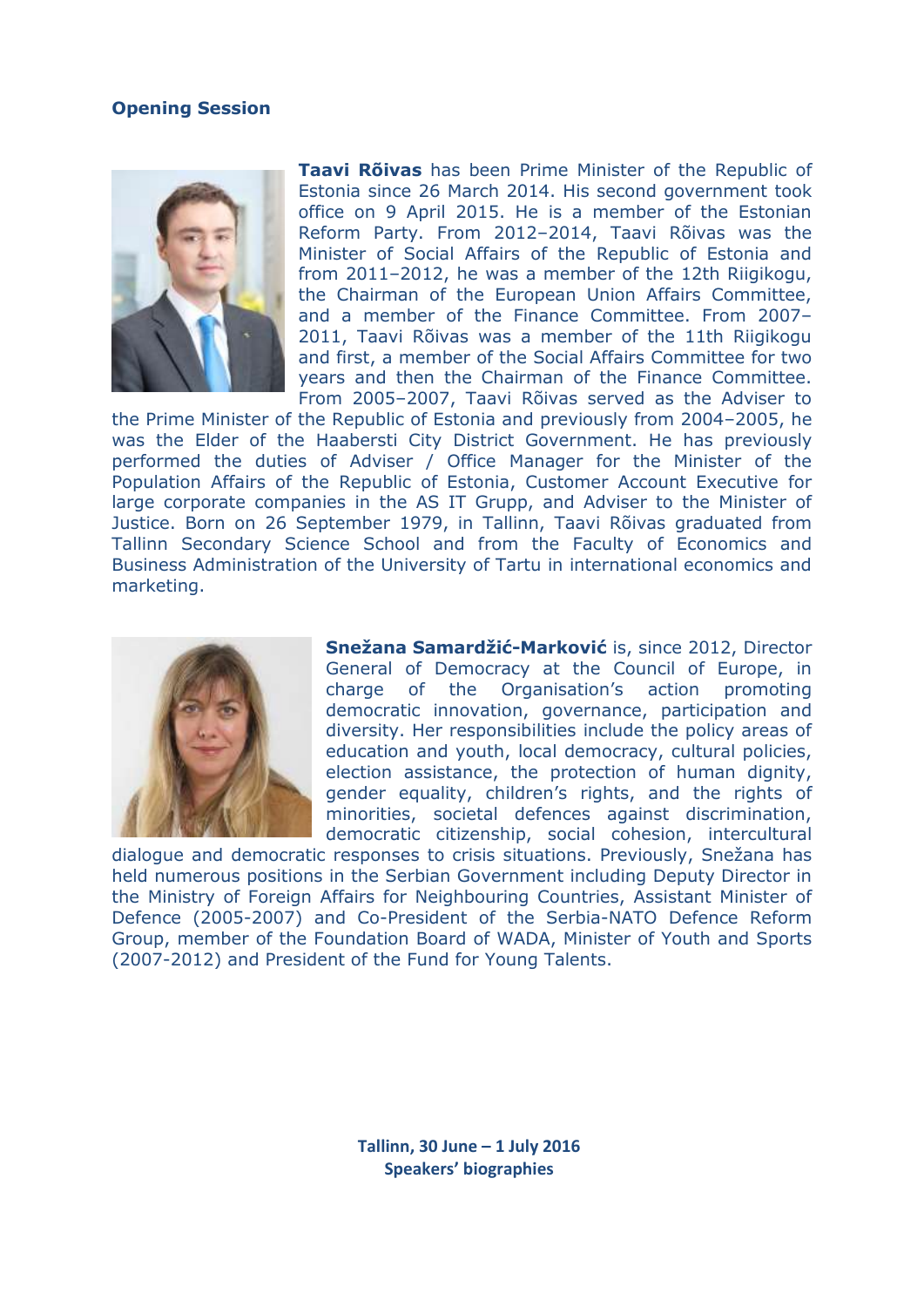## **Opening Session**



**Taavi Rõivas** has been Prime Minister of the Republic of Estonia since 26 March 2014. His second government took office on 9 April 2015. He is a member of the Estonian Reform Party. From 2012–2014, Taavi Rõivas was the Minister of Social Affairs of the Republic of Estonia and from 2011–2012, he was a member of the 12th Riigikogu, the Chairman of the European Union Affairs Committee, and a member of the Finance Committee. From 2007– 2011, Taavi Rõivas was a member of the 11th Riigikogu and first, a member of the Social Affairs Committee for two years and then the Chairman of the Finance Committee. From 2005–2007, Taavi Rõivas served as the Adviser to

the Prime Minister of the Republic of Estonia and previously from 2004–2005, he was the Elder of the Haabersti City District Government. He has previously performed the duties of Adviser / Office Manager for the Minister of the Population Affairs of the Republic of Estonia, Customer Account Executive for large corporate companies in the AS IT Grupp, and Adviser to the Minister of Justice. Born on 26 September 1979, in Tallinn, Taavi Rõivas graduated from Tallinn Secondary Science School and from the Faculty of Economics and Business Administration of the University of Tartu in international economics and marketing.



**Snežana Samardžić-Marković** is, since 2012, Director General of Democracy at the Council of Europe, in charge of the Organisation's action promoting democratic innovation, governance, participation and diversity. Her responsibilities include the policy areas of education and youth, local democracy, cultural policies, election assistance, the protection of human dignity, gender equality, children's rights, and the rights of minorities, societal defences against discrimination, democratic citizenship, social cohesion, intercultural

dialogue and democratic responses to crisis situations. Previously, Snežana has held numerous positions in the Serbian Government including Deputy Director in the Ministry of Foreign Affairs for Neighbouring Countries, Assistant Minister of Defence (2005-2007) and Co-President of the Serbia-NATO Defence Reform Group, member of the Foundation Board of WADA, Minister of Youth and Sports (2007-2012) and President of the Fund for Young Talents.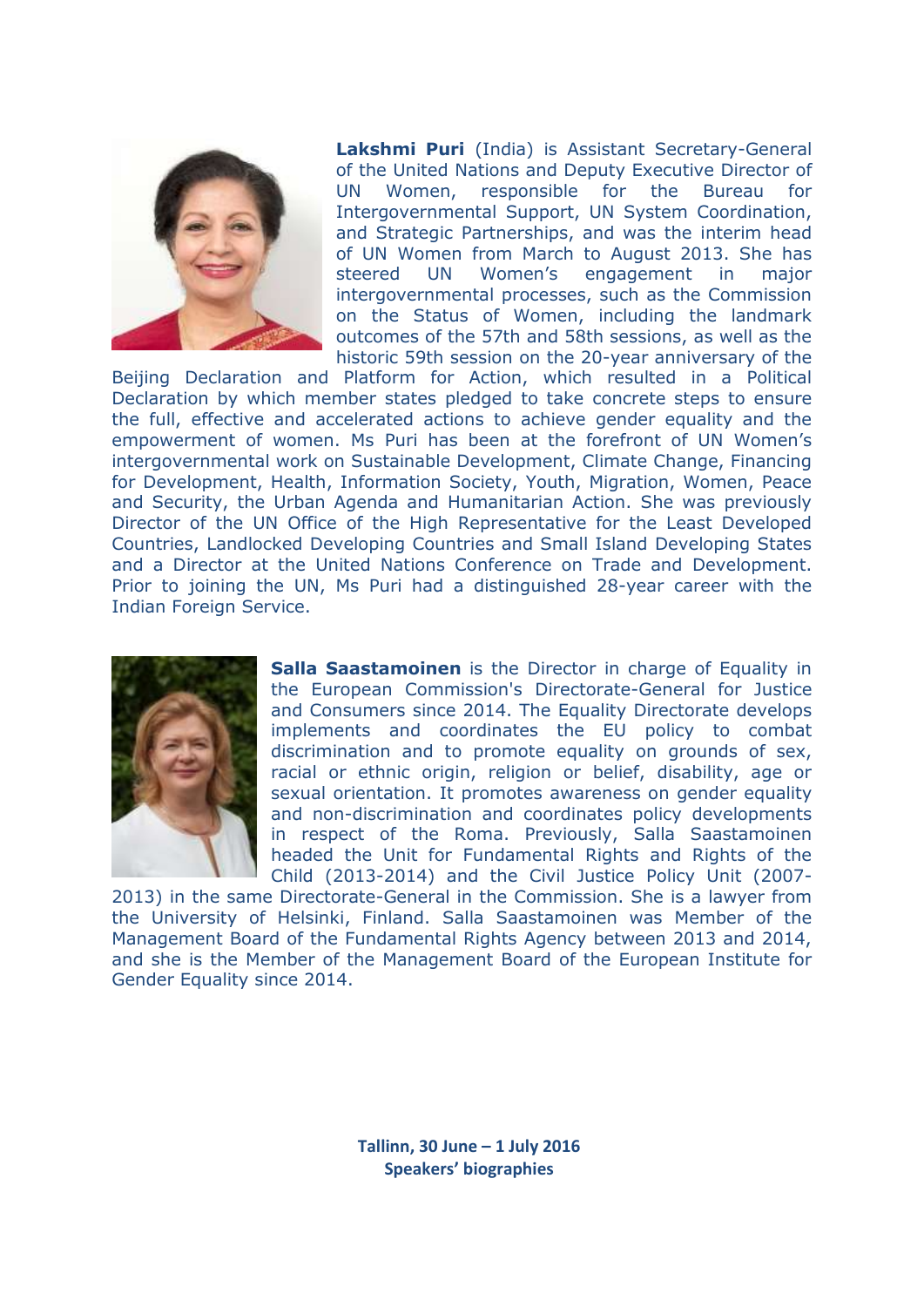

**Lakshmi Puri** (India) is Assistant Secretary-General of the United Nations and Deputy Executive Director of UN Women, responsible for the Bureau for Intergovernmental Support, UN System Coordination, and Strategic Partnerships, and was the interim head of UN Women from March to August 2013. She has steered UN Women's engagement in major intergovernmental processes, such as the Commission on the Status of Women, including the landmark outcomes of the 57th and 58th sessions, as well as the historic 59th session on the 20-year anniversary of the

Beijing Declaration and Platform for Action, which resulted in a Political Declaration by which member states pledged to take concrete steps to ensure the full, effective and accelerated actions to achieve gender equality and the empowerment of women. Ms Puri has been at the forefront of UN Women's intergovernmental work on Sustainable Development, Climate Change, Financing for Development, Health, Information Society, Youth, Migration, Women, Peace and Security, the Urban Agenda and Humanitarian Action. She was previously Director of the UN Office of the High Representative for the Least Developed Countries, Landlocked Developing Countries and Small Island Developing States and a Director at the United Nations Conference on Trade and Development. Prior to joining the UN, Ms Puri had a distinguished 28-year career with the Indian Foreign Service.



**Salla Saastamoinen** is the Director in charge of Equality in the European Commission's Directorate-General for Justice and Consumers since 2014. The Equality Directorate develops implements and coordinates the EU policy to combat discrimination and to promote equality on grounds of sex, racial or ethnic origin, religion or belief, disability, age or sexual orientation. It promotes awareness on gender equality and non-discrimination and coordinates policy developments in respect of the Roma. Previously, Salla Saastamoinen headed the Unit for Fundamental Rights and Rights of the Child (2013-2014) and the Civil Justice Policy Unit (2007-

2013) in the same Directorate-General in the Commission. She is a lawyer from the University of Helsinki, Finland. Salla Saastamoinen was Member of the Management Board of the Fundamental Rights Agency between 2013 and 2014, and she is the Member of the Management Board of the European Institute for Gender Equality since 2014.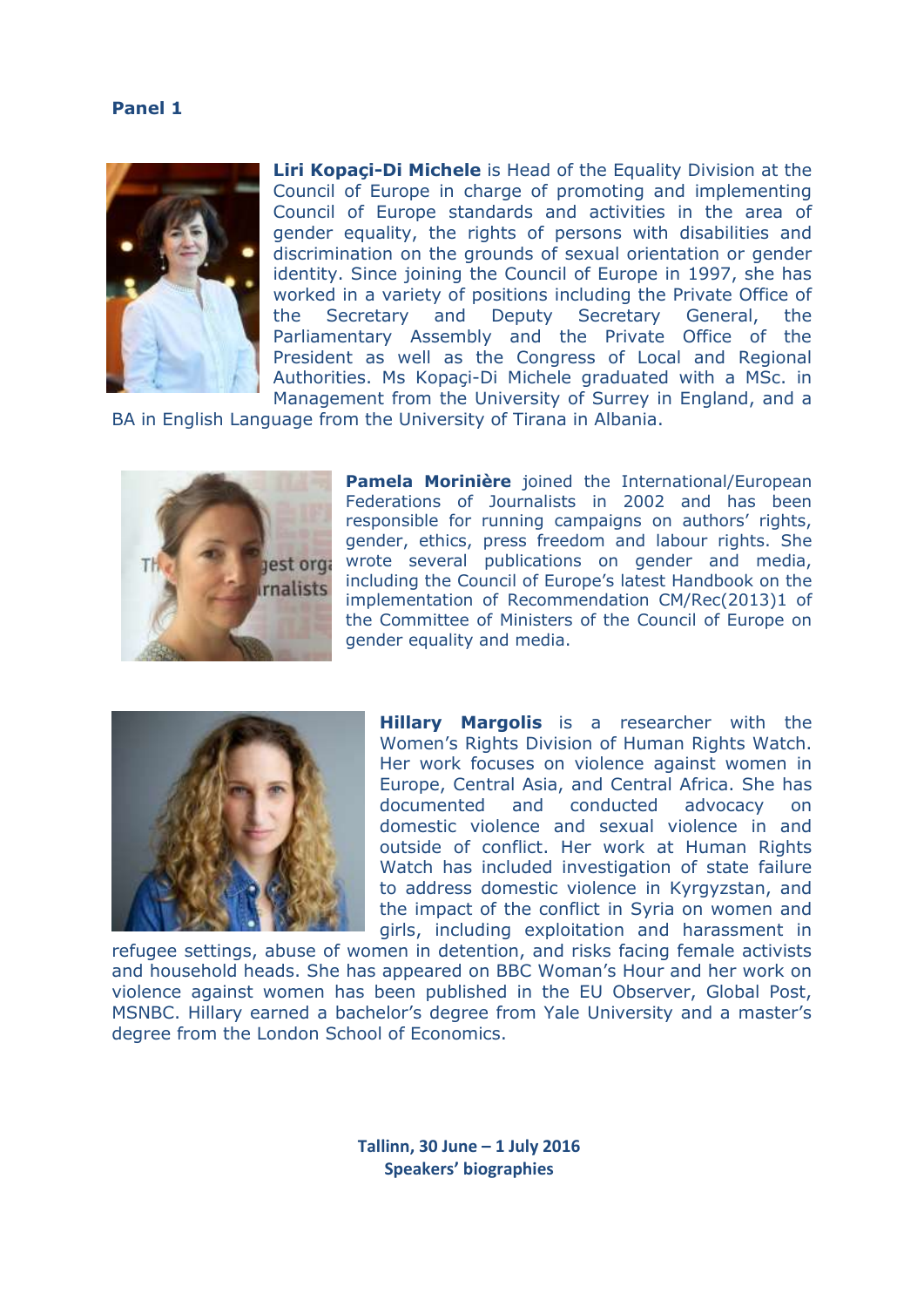

**Liri Kopaçi-Di Michele** is Head of the Equality Division at the Council of Europe in charge of promoting and implementing Council of Europe standards and activities in the area of gender equality, the rights of persons with disabilities and discrimination on the grounds of sexual orientation or gender identity. Since joining the Council of Europe in 1997, she has worked in a variety of positions including the Private Office of the Secretary and Deputy Secretary General, the Parliamentary Assembly and the Private Office of the President as well as the Congress of Local and Regional Authorities. Ms Kopaçi-Di Michele graduated with a MSc. in Management from the University of Surrey in England, and a

BA in English Language from the University of Tirana in Albania.



**Pamela Morinière** joined the International/European Federations of Journalists in 2002 and has been responsible for running campaigns on authors' rights, gender, ethics, press freedom and labour rights. She wrote several publications on gender and media, including the Council of Europe's latest Handbook on the implementation of Recommendation CM/Rec(2013)1 of the Committee of Ministers of the Council of Europe on gender equality and media.



**Hillary Margolis** is a researcher with the Women's Rights Division of Human Rights Watch. Her work focuses on violence against women in Europe, Central Asia, and Central Africa. She has documented and conducted advocacy on domestic violence and sexual violence in and outside of conflict. Her work at Human Rights Watch has included investigation of state failure to address domestic violence in Kyrgyzstan, and the impact of the conflict in Syria on women and girls, including exploitation and harassment in

refugee settings, abuse of women in detention, and risks facing female activists and household heads. She has appeared on BBC Woman's Hour and her work on violence against women has been published in the EU Observer, Global Post, MSNBC. Hillary earned a bachelor's degree from Yale University and a master's degree from the London School of Economics.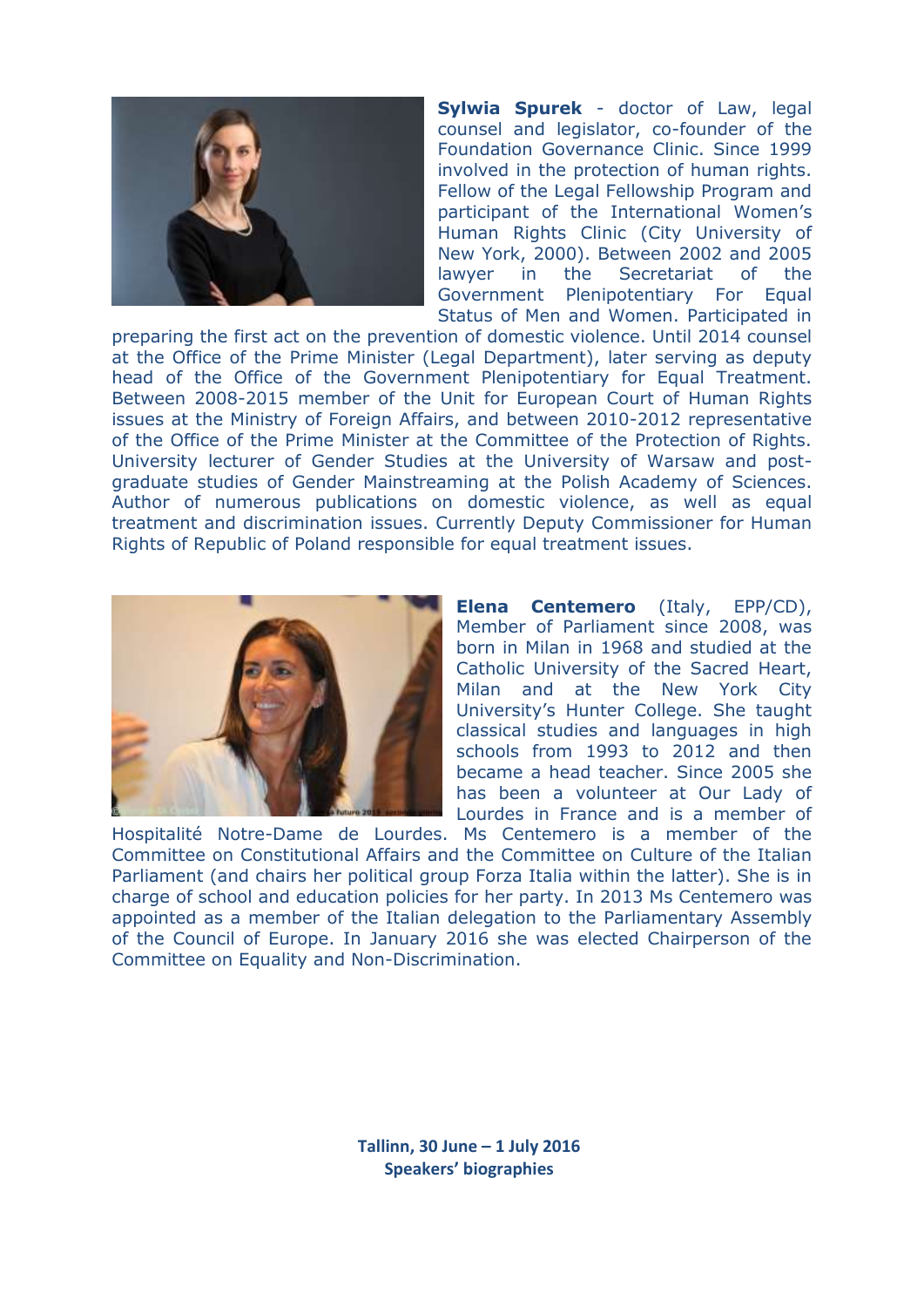

**Sylwia Spurek** - doctor of Law, legal counsel and legislator, co-founder of the Foundation Governance Clinic. Since 1999 involved in the protection of human rights. Fellow of the Legal Fellowship Program and participant of the International Women's Human Rights Clinic (City University of New York, 2000). Between 2002 and 2005 lawyer in the Secretariat of the Government Plenipotentiary For Equal Status of Men and Women. Participated in

preparing the first act on the prevention of domestic violence. Until 2014 counsel at the Office of the Prime Minister (Legal Department), later serving as deputy head of the Office of the Government Plenipotentiary for Equal Treatment. Between 2008-2015 member of the Unit for European Court of Human Rights issues at the Ministry of Foreign Affairs, and between 2010-2012 representative of the Office of the Prime Minister at the Committee of the Protection of Rights. University lecturer of Gender Studies at the University of Warsaw and postgraduate studies of Gender Mainstreaming at the Polish Academy of Sciences. Author of numerous publications on domestic violence, as well as equal treatment and discrimination issues. Currently Deputy Commissioner for Human Rights of Republic of Poland responsible for equal treatment issues.



**Elena Centemero** (Italy, EPP/CD), Member of Parliament since 2008, was born in Milan in 1968 and studied at the Catholic University of the Sacred Heart, Milan and at the New York City University's Hunter College. She taught classical studies and languages in high schools from 1993 to 2012 and then became a head teacher. Since 2005 she has been a volunteer at Our Lady of Lourdes in France and is a member of

Hospitalité Notre-Dame de Lourdes. Ms Centemero is a member of the Committee on Constitutional Affairs and the Committee on Culture of the Italian Parliament (and chairs her political group Forza Italia within the latter). She is in charge of school and education policies for her party. In 2013 Ms Centemero was appointed as a member of the Italian delegation to the Parliamentary Assembly of the Council of Europe. In January 2016 she was elected Chairperson of the Committee on Equality and Non-Discrimination.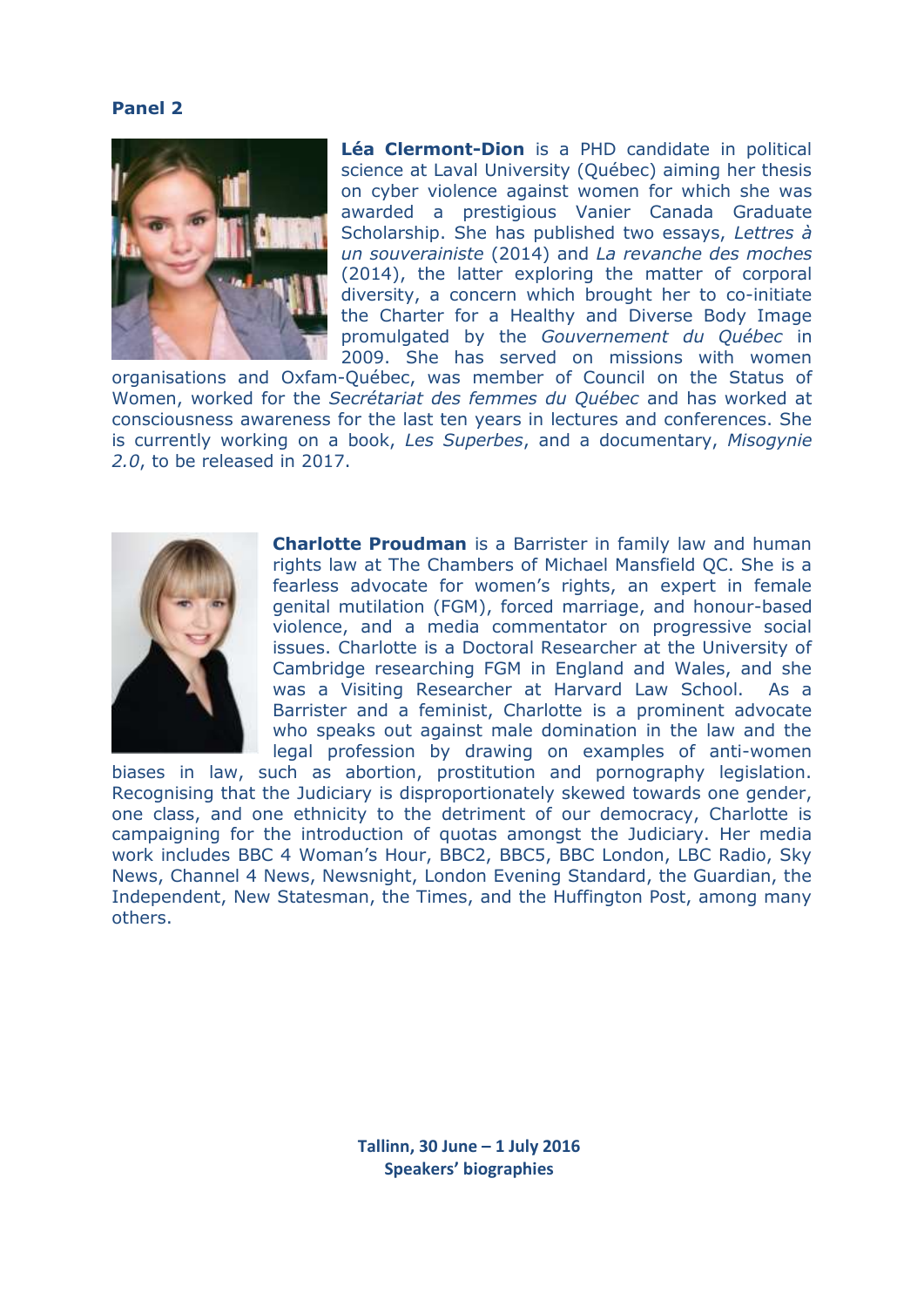#### **Panel 2**



**Léa Clermont-Dion** is a PHD candidate in political science at Laval University (Québec) aiming her thesis on cyber violence against women for which she was awarded a prestigious Vanier Canada Graduate Scholarship. She has published two essays, *Lettres à un souverainiste* (2014) and *La revanche des moches* (2014), the latter exploring the matter of corporal diversity, a concern which brought her to co-initiate the Charter for a Healthy and Diverse Body Image promulgated by the *Gouvernement du Québec* in 2009. She has served on missions with women

organisations and Oxfam-Québec, was member of Council on the Status of Women, worked for the *Secrétariat des femmes du Québec* and has worked at consciousness awareness for the last ten years in lectures and conferences. She is currently working on a book, *Les Superbes*, and a documentary, *Misogynie 2.0*, to be released in 2017.



**Charlotte Proudman** is a Barrister in family law and human rights law at The Chambers of Michael Mansfield QC. She is a fearless advocate for women's rights, an expert in female genital mutilation (FGM), forced marriage, and honour-based violence, and a media commentator on progressive social issues. Charlotte is a Doctoral Researcher at the University of Cambridge researching FGM in England and Wales, and she was a Visiting Researcher at Harvard Law School. As a Barrister and a feminist, Charlotte is a prominent advocate who speaks out against male domination in the law and the legal profession by drawing on examples of anti-women

biases in law, such as abortion, prostitution and pornography legislation. Recognising that the Judiciary is disproportionately skewed towards one gender, one class, and one ethnicity to the detriment of our democracy, Charlotte is campaigning for the introduction of quotas amongst the Judiciary. Her media work includes BBC 4 Woman's Hour, BBC2, BBC5, BBC London, LBC Radio, Sky News, Channel 4 News, Newsnight, London Evening Standard, the Guardian, the Independent, New Statesman, the Times, and the Huffington Post, among many others.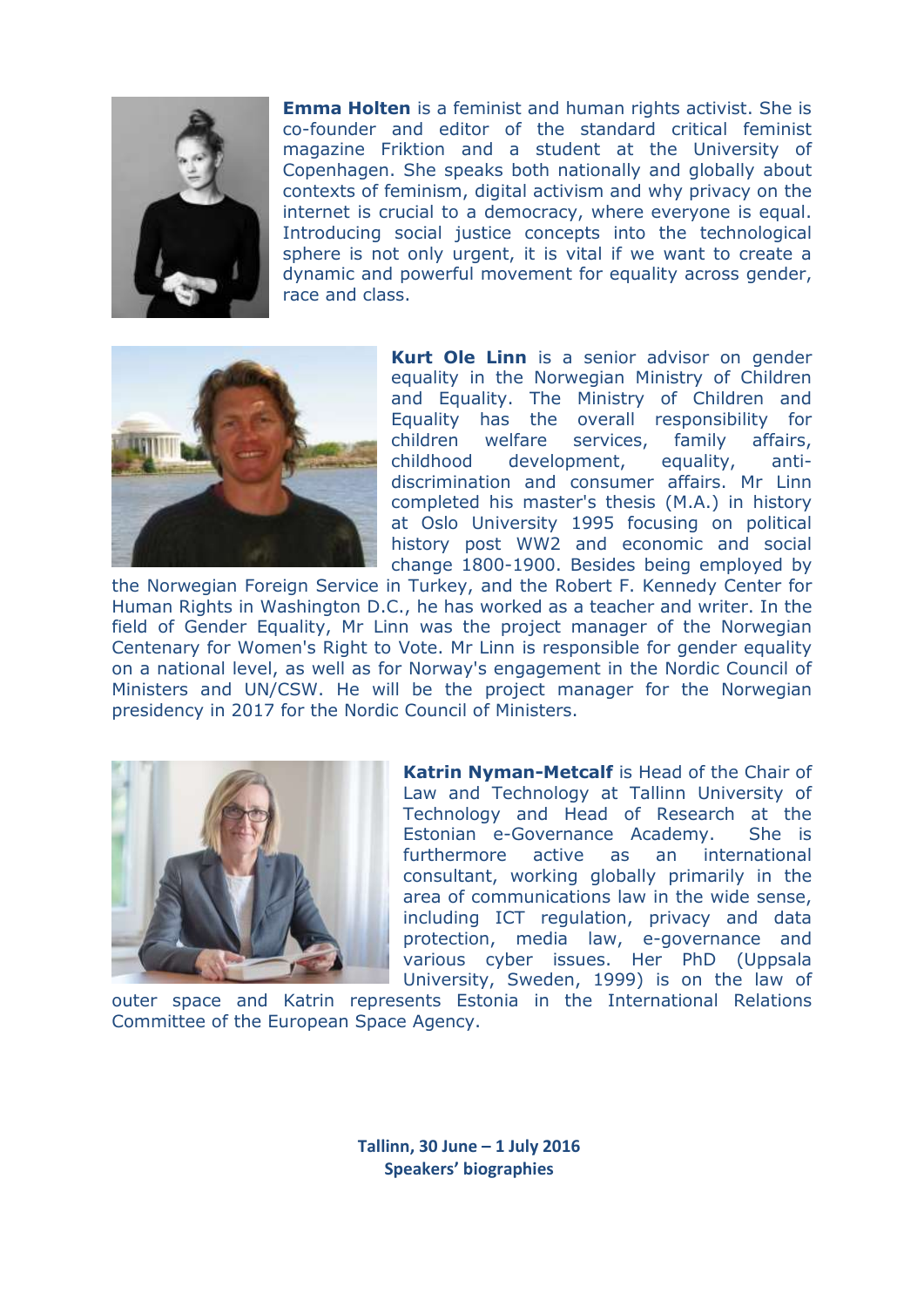

**Emma Holten** is a feminist and human rights activist. She is co-founder and editor of the standard critical feminist magazine Friktion and a student at the University of Copenhagen. She speaks both nationally and globally about contexts of feminism, digital activism and why privacy on the internet is crucial to a democracy, where everyone is equal. Introducing social justice concepts into the technological sphere is not only urgent, it is vital if we want to create a dynamic and powerful movement for equality across gender, race and class.



**Kurt Ole Linn** is a senior advisor on gender equality in the Norwegian Ministry of Children and Equality. The Ministry of Children and Equality has the overall responsibility for children welfare services, family affairs, childhood development, equality, antidiscrimination and consumer affairs. Mr Linn completed his master's thesis (M.A.) in history at Oslo University 1995 focusing on political history post WW2 and economic and social change 1800-1900. Besides being employed by

the Norwegian Foreign Service in Turkey, and the Robert F. Kennedy Center for Human Rights in Washington D.C., he has worked as a teacher and writer. In the field of Gender Equality, Mr Linn was the project manager of the Norwegian Centenary for Women's Right to Vote. Mr Linn is responsible for gender equality on a national level, as well as for Norway's engagement in the Nordic Council of Ministers and UN/CSW. He will be the project manager for the Norwegian presidency in 2017 for the Nordic Council of Ministers.



**Katrin Nyman-Metcalf** is Head of the Chair of Law and Technology at Tallinn University of Technology and Head of Research at the Estonian e-Governance Academy. She is furthermore active as an international consultant, working globally primarily in the area of communications law in the wide sense, including ICT regulation, privacy and data protection, media law, e-governance and various cyber issues. Her PhD (Uppsala University, Sweden, 1999) is on the law of

outer space and Katrin represents Estonia in the International Relations Committee of the European Space Agency.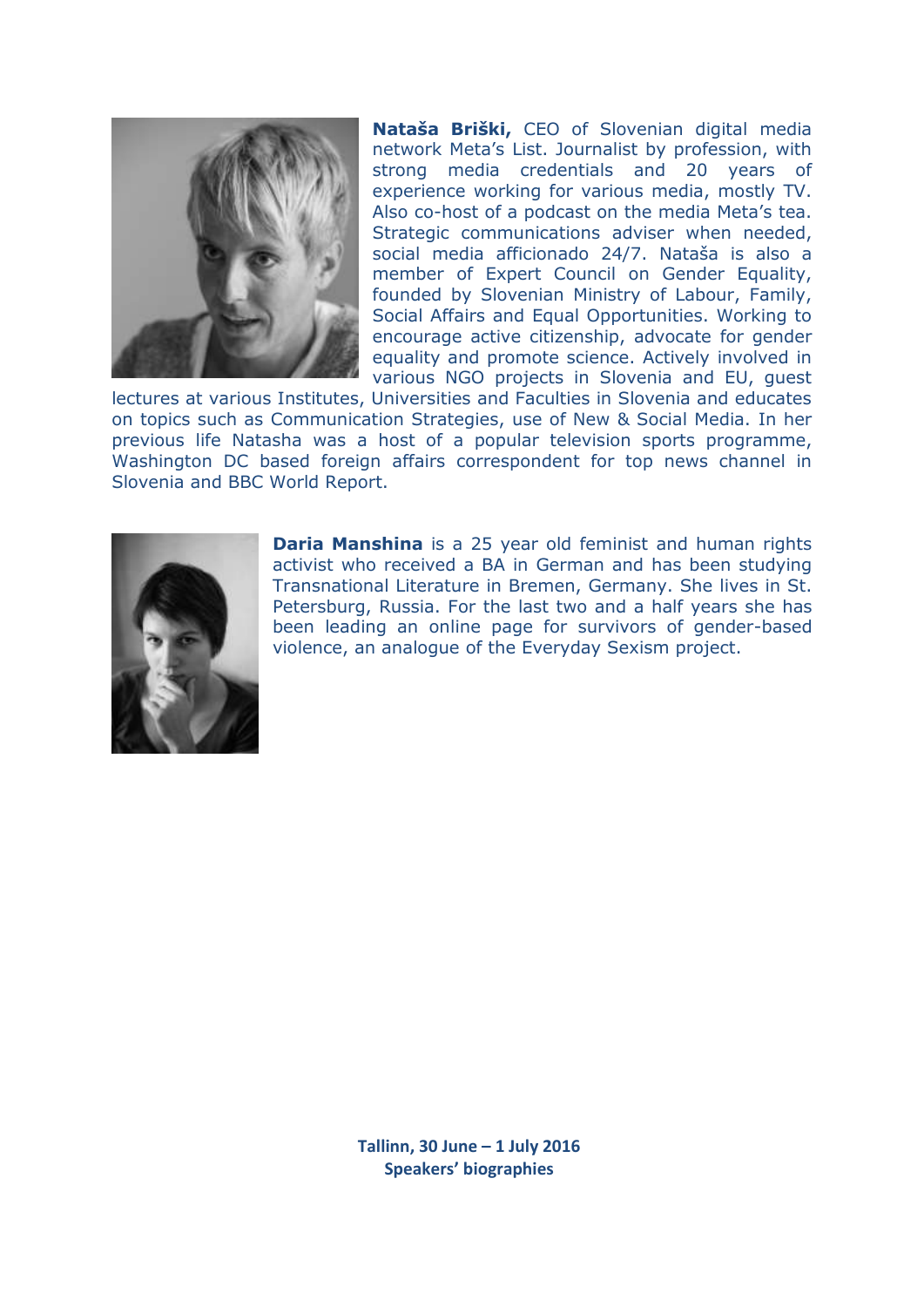

**Nataša Briški,** CEO of Slovenian digital media network Meta's List. Journalist by profession, with strong media credentials and 20 years of experience working for various media, mostly TV. Also co-host of a podcast on the media Meta's tea. Strategic communications adviser when needed, social media afficionado 24/7. Nataša is also a member of Expert Council on Gender Equality, founded by Slovenian Ministry of Labour, Family, Social Affairs and Equal Opportunities. Working to encourage active citizenship, advocate for gender equality and promote science. Actively involved in various NGO projects in Slovenia and EU, guest

lectures at various Institutes, Universities and Faculties in Slovenia and educates on topics such as Communication Strategies, use of New & Social Media. In her previous life Natasha was a host of a popular television sports programme, Washington DC based foreign affairs correspondent for top news channel in Slovenia and BBC World Report.



**Daria Manshina** is a 25 year old feminist and human rights activist who received a BA in German and has been studying Transnational Literature in Bremen, Germany. She lives in St. Petersburg, Russia. For the last two and a half years she has been leading an online page for survivors of gender-based violence, an analogue of the Everyday Sexism project.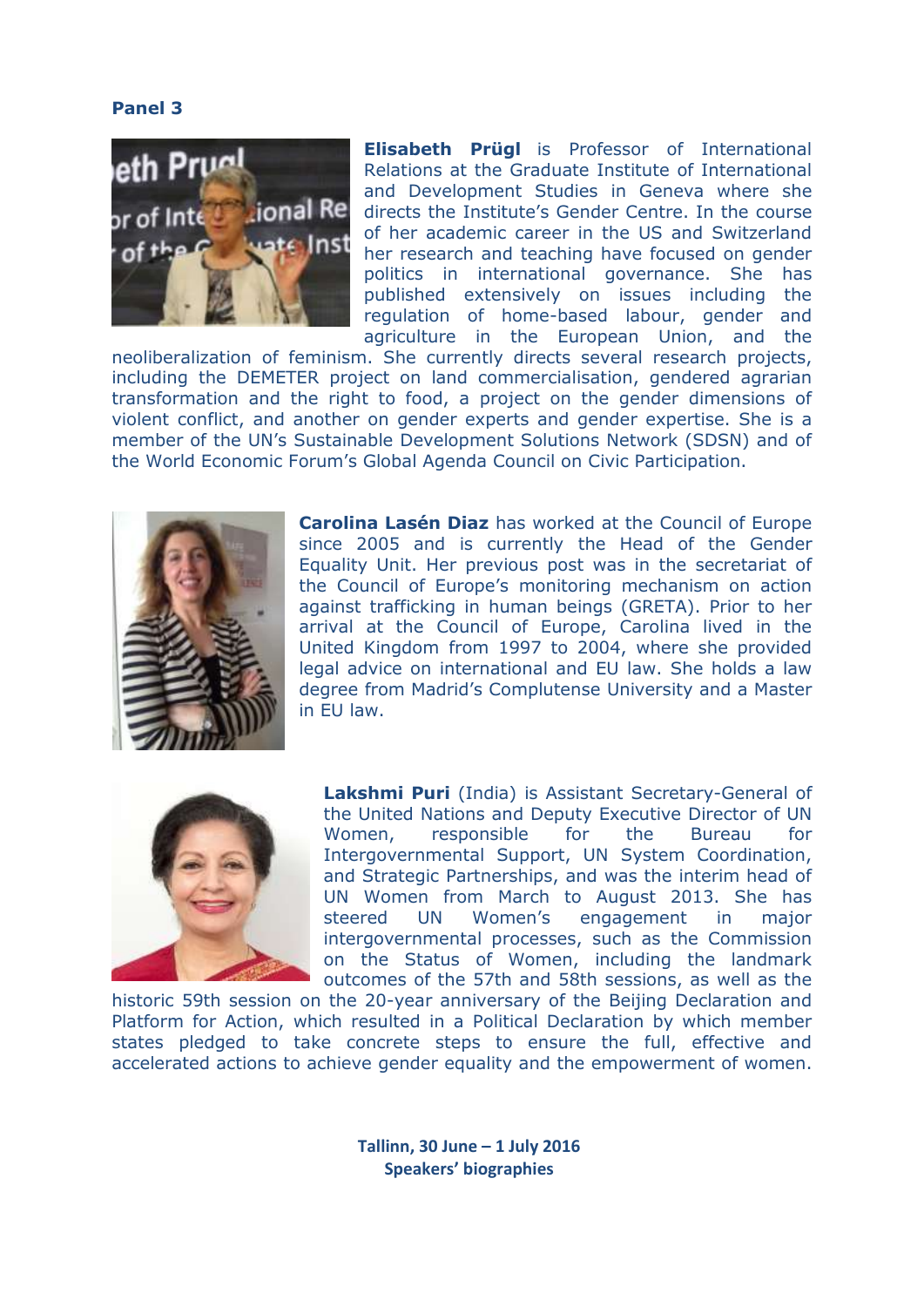#### **Panel 3**



**Elisabeth Prügl** is Professor of International Relations at the Graduate Institute of International and Development Studies in Geneva where she directs the Institute's Gender Centre. In the course of her academic career in the US and Switzerland her research and teaching have focused on gender politics in international governance. She has published extensively on issues including the regulation of home-based labour, gender and agriculture in the European Union, and the

neoliberalization of feminism. She currently directs several research projects, including the DEMETER project on land commercialisation, gendered agrarian transformation and the right to food, a project on the gender dimensions of violent conflict, and another on gender experts and gender expertise. She is a member of the UN's Sustainable Development Solutions Network (SDSN) and of the World Economic Forum's Global Agenda Council on Civic Participation.



**Carolina Lasén Diaz** has worked at the Council of Europe since 2005 and is currently the Head of the Gender Equality Unit. Her previous post was in the secretariat of the Council of Europe's monitoring mechanism on action against trafficking in human beings (GRETA). Prior to her arrival at the Council of Europe, Carolina lived in the United Kingdom from 1997 to 2004, where she provided legal advice on international and EU law. She holds a law degree from Madrid's Complutense University and a Master in EU law.



**Lakshmi Puri** (India) is Assistant Secretary-General of the United Nations and Deputy Executive Director of UN Women, responsible for the Bureau for Intergovernmental Support, UN System Coordination, and Strategic Partnerships, and was the interim head of UN Women from March to August 2013. She has steered UN Women's engagement in major intergovernmental processes, such as the Commission on the Status of Women, including the landmark outcomes of the 57th and 58th sessions, as well as the

historic 59th session on the 20-year anniversary of the Beijing Declaration and Platform for Action, which resulted in a Political Declaration by which member states pledged to take concrete steps to ensure the full, effective and accelerated actions to achieve gender equality and the empowerment of women.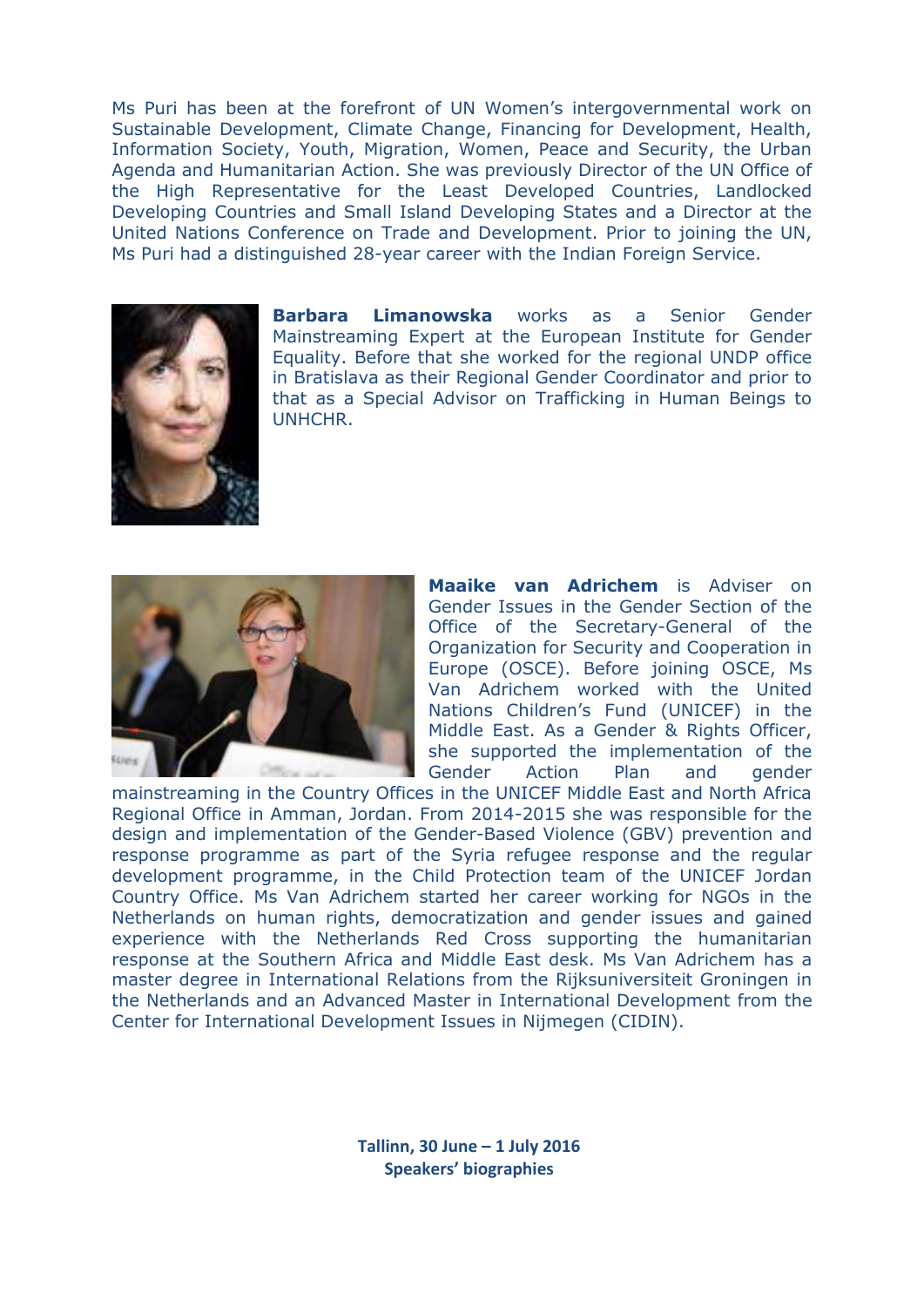Ms Puri has been at the forefront of UN Women's intergovernmental work on Sustainable Development, Climate Change, Financing for Development, Health, Information Society, Youth, Migration, Women, Peace and Security, the Urban Agenda and Humanitarian Action. She was previously Director of the UN Office of the High Representative for the Least Developed Countries, Landlocked Developing Countries and Small Island Developing States and a Director at the United Nations Conference on Trade and Development. Prior to joining the UN, Ms Puri had a distinguished 28-year career with the Indian Foreign Service.



**Barbara Limanowska** works as a Senior Gender Mainstreaming Expert at the European Institute for Gender Equality. Before that she worked for the regional UNDP office in Bratislava as their Regional Gender Coordinator and prior to that as a Special Advisor on Trafficking in Human Beings to UNHCHR.



**Maaike van Adrichem** is Adviser on Gender Issues in the Gender Section of the Office of the Secretary-General of the Organization for Security and Cooperation in Europe (OSCE). Before joining OSCE, Ms Van Adrichem worked with the United Nations Children's Fund (UNICEF) in the Middle East. As a Gender & Rights Officer, she supported the implementation of the Gender Action Plan and gender

mainstreaming in the Country Offices in the UNICEF Middle East and North Africa Regional Office in Amman, Jordan. From 2014-2015 she was responsible for the design and implementation of the Gender-Based Violence (GBV) prevention and response programme as part of the Syria refugee response and the regular development programme, in the Child Protection team of the UNICEF Jordan Country Office. Ms Van Adrichem started her career working for NGOs in the Netherlands on human rights, democratization and gender issues and gained experience with the Netherlands Red Cross supporting the humanitarian response at the Southern Africa and Middle East desk. Ms Van Adrichem has a master degree in International Relations from the Rijksuniversiteit Groningen in the Netherlands and an Advanced Master in International Development from the Center for International Development Issues in Nijmegen (CIDIN).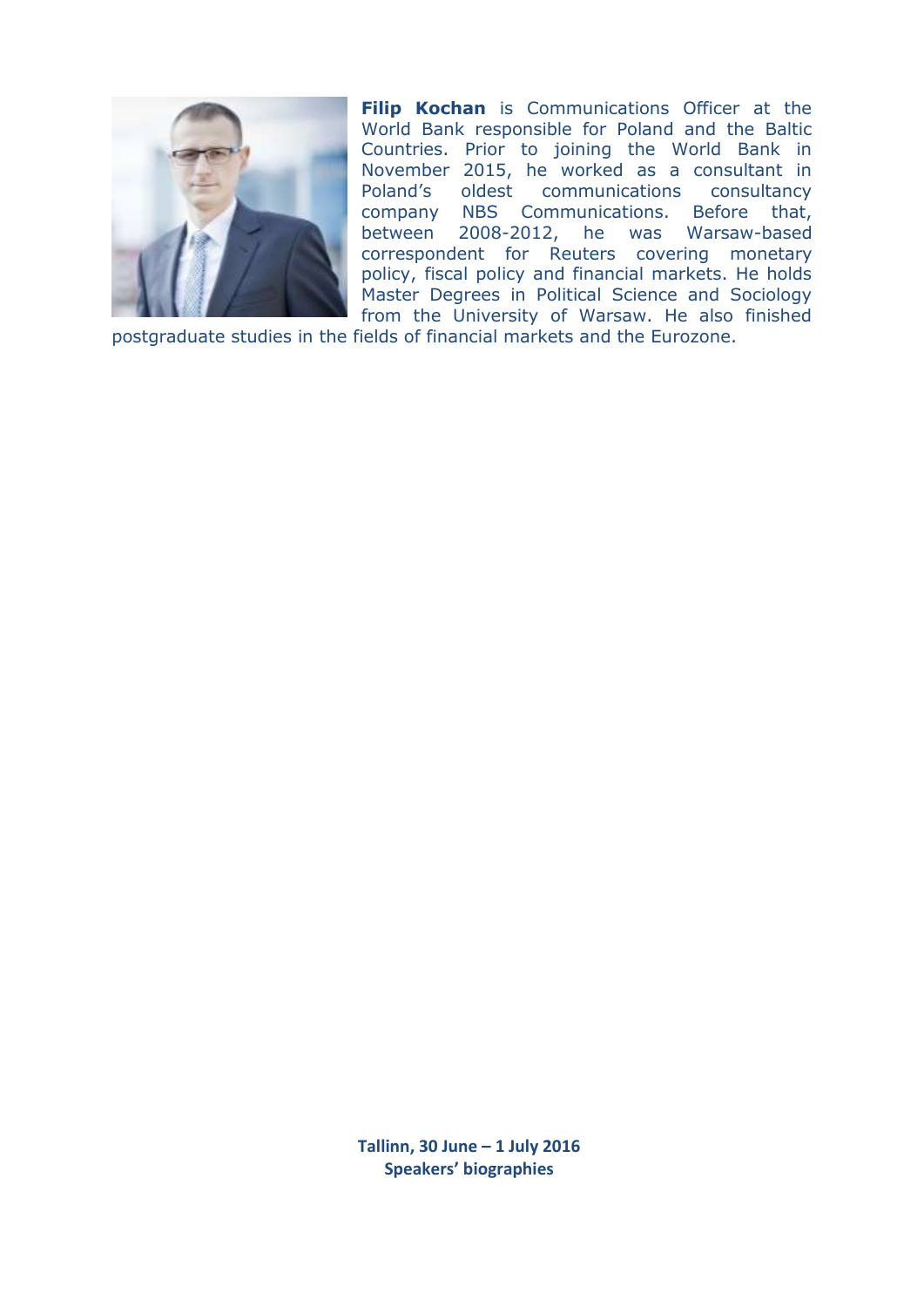

**Filip Kochan** is Communications Officer at the World Bank responsible for Poland and the Baltic Countries. Prior to joining the World Bank in November 2015, he worked as a consultant in Poland's oldest communications consultancy company NBS Communications. Before that, between 2008-2012, he was Warsaw-based correspondent for Reuters covering monetary policy, fiscal policy and financial markets. He holds Master Degrees in Political Science and Sociology from the University of Warsaw. He also finished

postgraduate studies in the fields of financial markets and the Eurozone.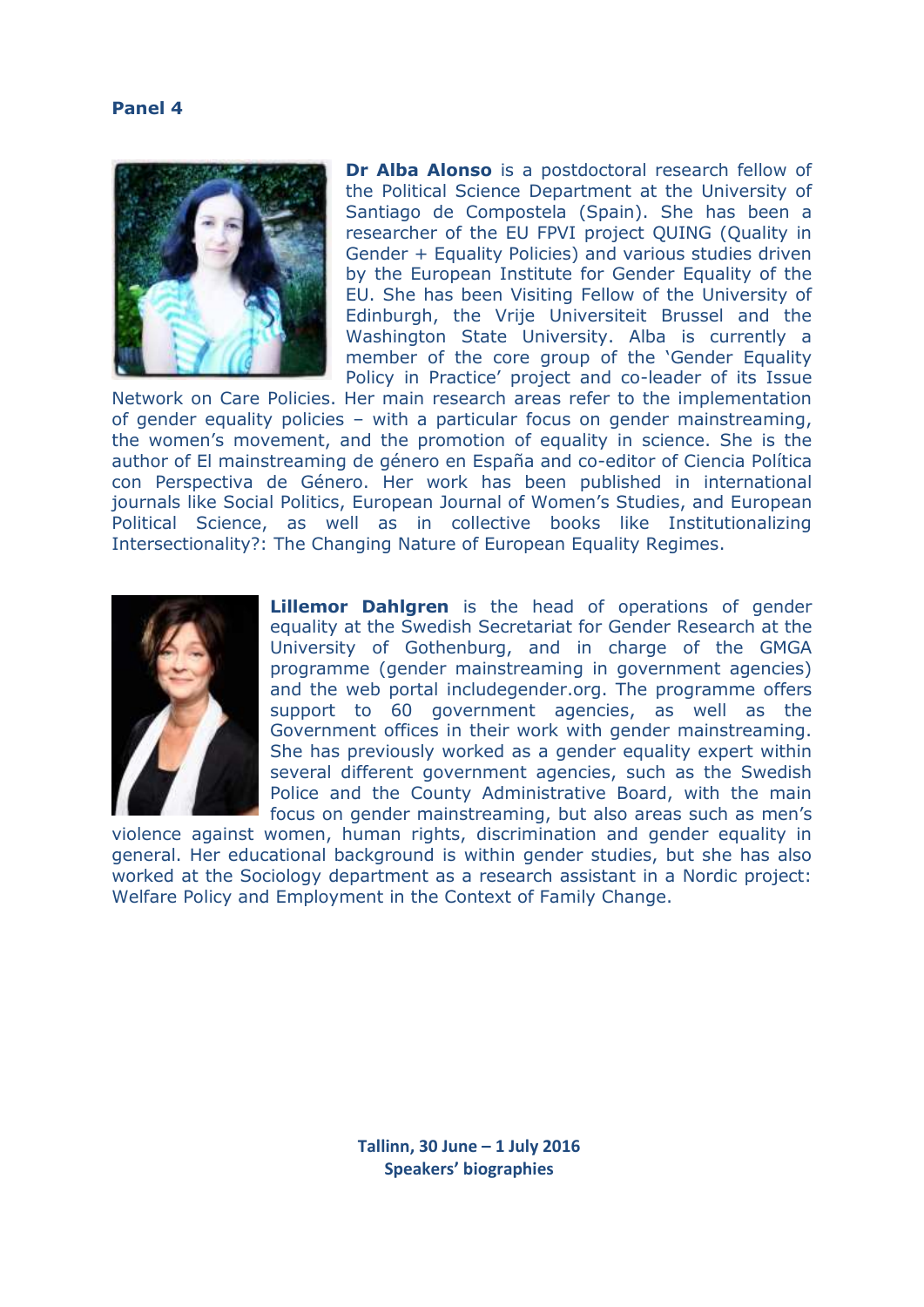#### **Panel 4**



**Dr Alba Alonso** is a postdoctoral research fellow of the Political Science Department at the University of Santiago de Compostela (Spain). She has been a researcher of the EU FPVI project QUING (Quality in Gender + Equality Policies) and various studies driven by the European Institute for Gender Equality of the EU. She has been Visiting Fellow of the University of Edinburgh, the Vrije Universiteit Brussel and the Washington State University. Alba is currently a member of the core group of the 'Gender Equality Policy in Practice' project and co-leader of its Issue

Network on Care Policies. Her main research areas refer to the implementation of gender equality policies – with a particular focus on gender mainstreaming, the women's movement, and the promotion of equality in science. She is the author of El mainstreaming de género en España and co-editor of Ciencia Política con Perspectiva de Género. Her work has been published in international journals like Social Politics, European Journal of Women's Studies, and European Political Science, as well as in collective books like Institutionalizing Intersectionality?: The Changing Nature of European Equality Regimes.



**Lillemor Dahlgren** is the head of operations of gender equality at the Swedish Secretariat for Gender Research at the University of Gothenburg, and in charge of the GMGA programme (gender mainstreaming in government agencies) and the web portal includegender.org. The programme offers support to 60 government agencies, as well as the Government offices in their work with gender mainstreaming. She has previously worked as a gender equality expert within several different government agencies, such as the Swedish Police and the County Administrative Board, with the main focus on gender mainstreaming, but also areas such as men's

violence against women, human rights, discrimination and gender equality in general. Her educational background is within gender studies, but she has also worked at the Sociology department as a research assistant in a Nordic project: Welfare Policy and Employment in the Context of Family Change.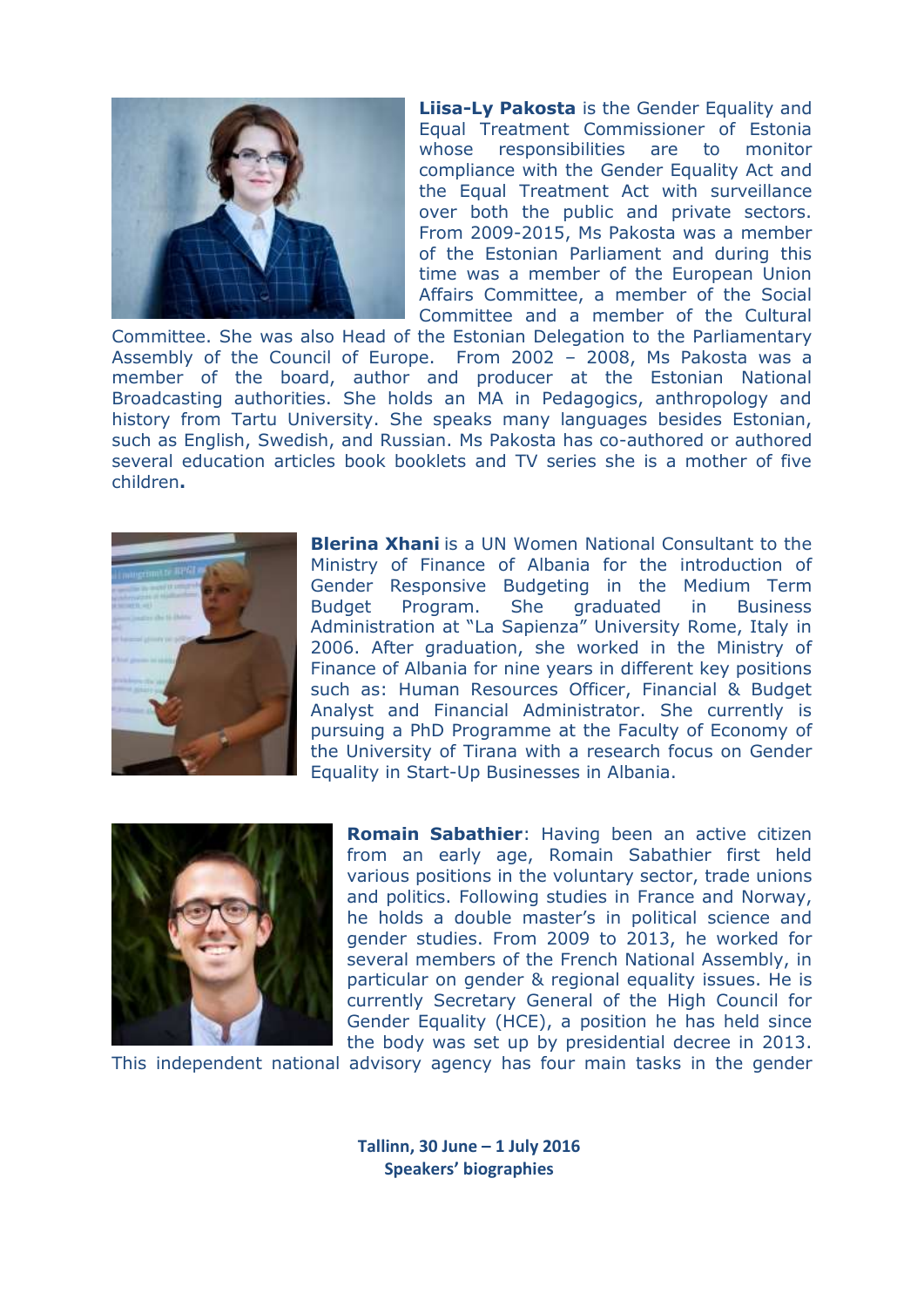

**Liisa-Ly Pakosta** is the Gender Equality and Equal Treatment Commissioner of Estonia whose responsibilities are to monitor compliance with the Gender Equality Act and the Equal Treatment Act with surveillance over both the public and private sectors. From 2009-2015, Ms Pakosta was a member of the Estonian Parliament and during this time was a member of the European Union Affairs Committee, a member of the Social Committee and a member of the Cultural

Committee. She was also Head of the Estonian Delegation to the Parliamentary Assembly of the Council of Europe. From 2002 – 2008, Ms Pakosta was a member of the board, author and producer at the Estonian National Broadcasting authorities. She holds an MA in Pedagogics, anthropology and history from Tartu University. She speaks many languages besides Estonian, such as English, Swedish, and Russian. Ms Pakosta has co-authored or authored several education articles book booklets and TV series she is a mother of five children**.**



**Blerina Xhani** is a UN Women National Consultant to the Ministry of Finance of Albania for the introduction of Gender Responsive Budgeting in the Medium Term Budget Program. She graduated in Business Administration at "La Sapienza" University Rome, Italy in 2006. After graduation, she worked in the Ministry of Finance of Albania for nine years in different key positions such as: Human Resources Officer, Financial & Budget Analyst and Financial Administrator. She currently is pursuing a PhD Programme at the Faculty of Economy of the University of Tirana with a research focus on Gender Equality in Start-Up Businesses in Albania.



**Romain Sabathier**: Having been an active citizen from an early age, Romain Sabathier first held various positions in the voluntary sector, trade unions and politics. Following studies in France and Norway, he holds a double master's in political science and gender studies. From 2009 to 2013, he worked for several members of the French National Assembly, in particular on gender & regional equality issues. He is currently Secretary General of the High Council for Gender Equality (HCE), a position he has held since the body was set up by presidential decree in 2013.

This independent national advisory agency has four main tasks in the gender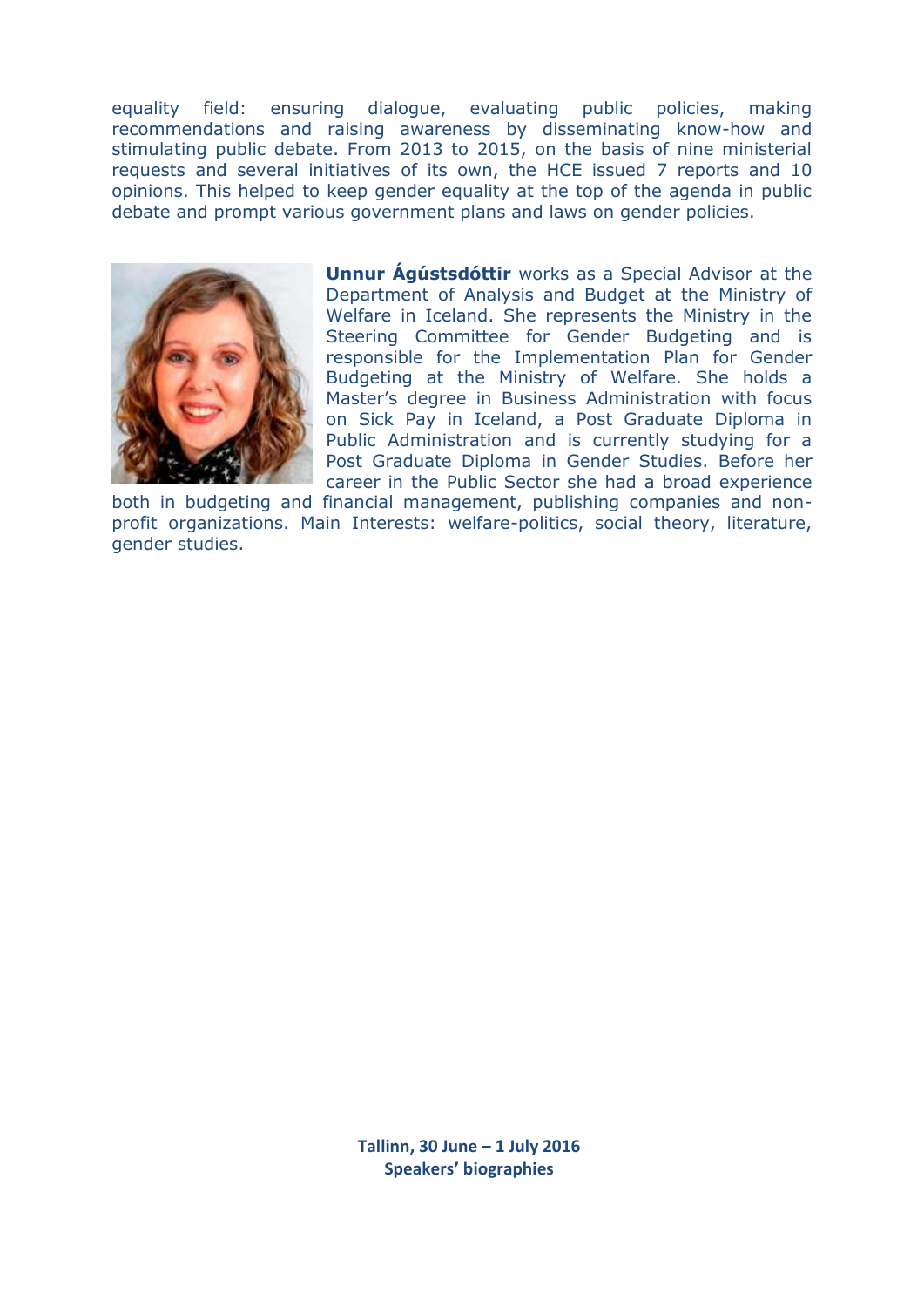equality field: ensuring dialogue, evaluating public policies, making recommendations and raising awareness by disseminating know-how and stimulating public debate. From 2013 to 2015, on the basis of nine ministerial requests and several initiatives of its own, the HCE issued 7 reports and 10 opinions. This helped to keep gender equality at the top of the agenda in public debate and prompt various government plans and laws on gender policies.



**Unnur Ágústsdóttir** works as a Special Advisor at the Department of Analysis and Budget at the Ministry of Welfare in Iceland. She represents the Ministry in the Steering Committee for Gender Budgeting and is responsible for the Implementation Plan for Gender Budgeting at the Ministry of Welfare. She holds a Master's degree in Business Administration with focus on Sick Pay in Iceland, a Post Graduate Diploma in Public Administration and is currently studying for a Post Graduate Diploma in Gender Studies. Before her career in the Public Sector she had a broad experience

both in budgeting and financial management, publishing companies and nonprofit organizations. Main Interests: welfare-politics, social theory, literature, gender studies.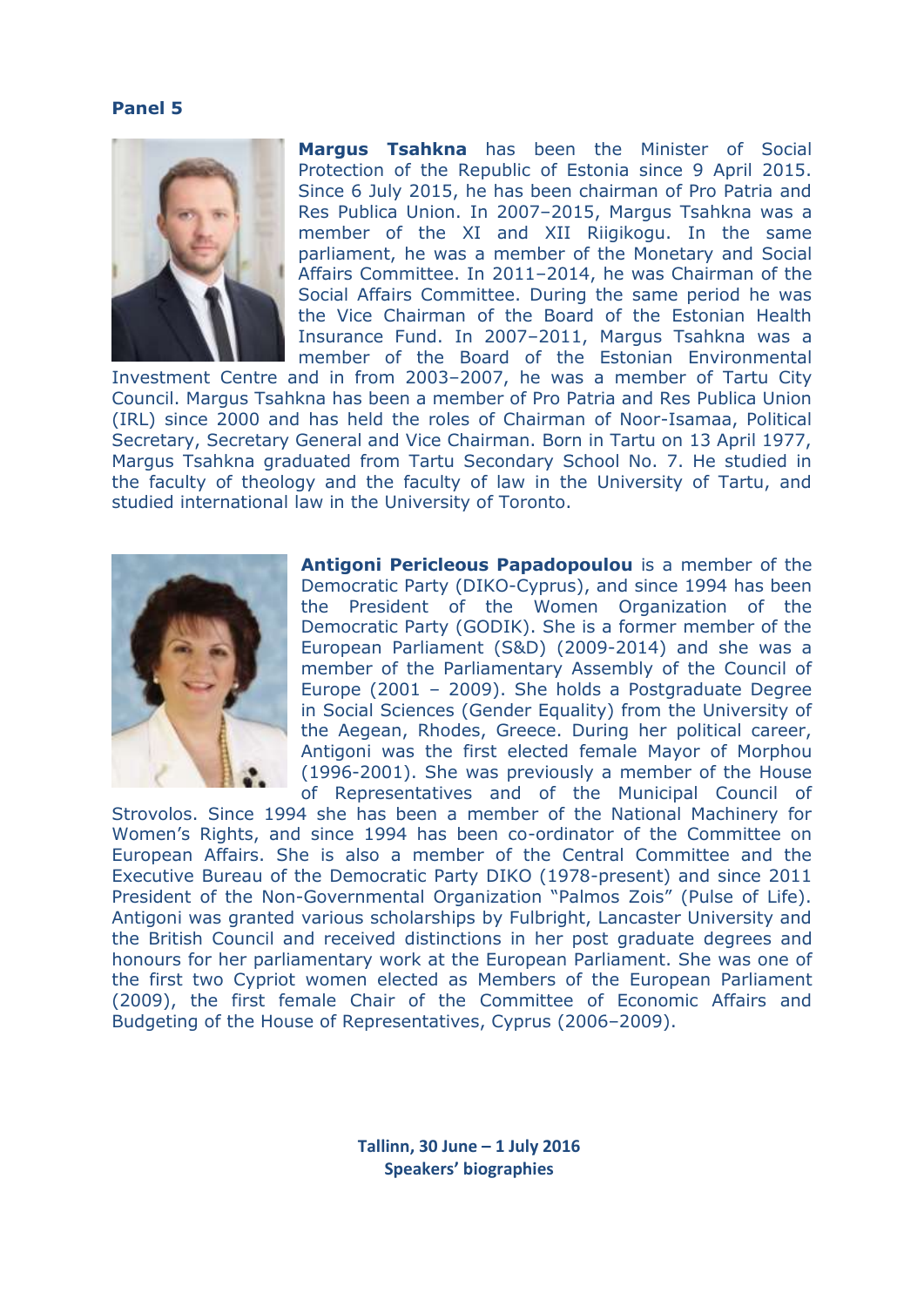#### **Panel 5**



**Margus Tsahkna** has been the Minister of Social Protection of the Republic of Estonia since 9 April 2015. Since 6 July 2015, he has been chairman of Pro Patria and Res Publica Union. In 2007–2015, Margus Tsahkna was a member of the XI and XII Riigikogu. In the same parliament, he was a member of the Monetary and Social Affairs Committee. In 2011–2014, he was Chairman of the Social Affairs Committee. During the same period he was the Vice Chairman of the Board of the Estonian Health Insurance Fund. In 2007–2011, Margus Tsahkna was a member of the Board of the Estonian Environmental

Investment Centre and in from 2003–2007, he was a member of Tartu City Council. Margus Tsahkna has been a member of Pro Patria and Res Publica Union (IRL) since 2000 and has held the roles of Chairman of Noor-Isamaa, Political Secretary, Secretary General and Vice Chairman. Born in Tartu on 13 April 1977, Margus Tsahkna graduated from Tartu Secondary School No. 7. He studied in the faculty of theology and the faculty of law in the University of Tartu, and studied international law in the University of Toronto.



**Antigoni Pericleous Papadopoulou** is a member of the Democratic Party (DIKO-Cyprus), and since 1994 has been the President of the Women Organization of the Democratic Party (GODIK). She is a former member of the European Parliament (S&D) (2009-2014) and she was a member of the Parliamentary Assembly of the Council of Europe (2001 – 2009). She holds a Postgraduate Degree in Social Sciences (Gender Equality) from the University of the Aegean, Rhodes, Greece. During her political career, Antigoni was the first elected female Mayor of Morphou (1996-2001). She was previously a member of the House of Representatives and of the Municipal Council of

Strovolos. Since 1994 she has been a member of the National Machinery for Women's Rights, and since 1994 has been co-ordinator of the Committee on European Affairs. She is also a member of the Central Committee and the Executive Bureau of the Democratic Party DIKO (1978-present) and since 2011 President of the Non-Governmental Organization "Palmos Zois" (Pulse of Life). Antigoni was granted various scholarships by Fulbright, Lancaster University and the British Council and received distinctions in her post graduate degrees and honours for her parliamentary work at the European Parliament. She was one of the first two Cypriot women elected as Members of the European Parliament (2009), the first female Chair of the Committee of Economic Affairs and Budgeting of the House of Representatives, Cyprus (2006–2009).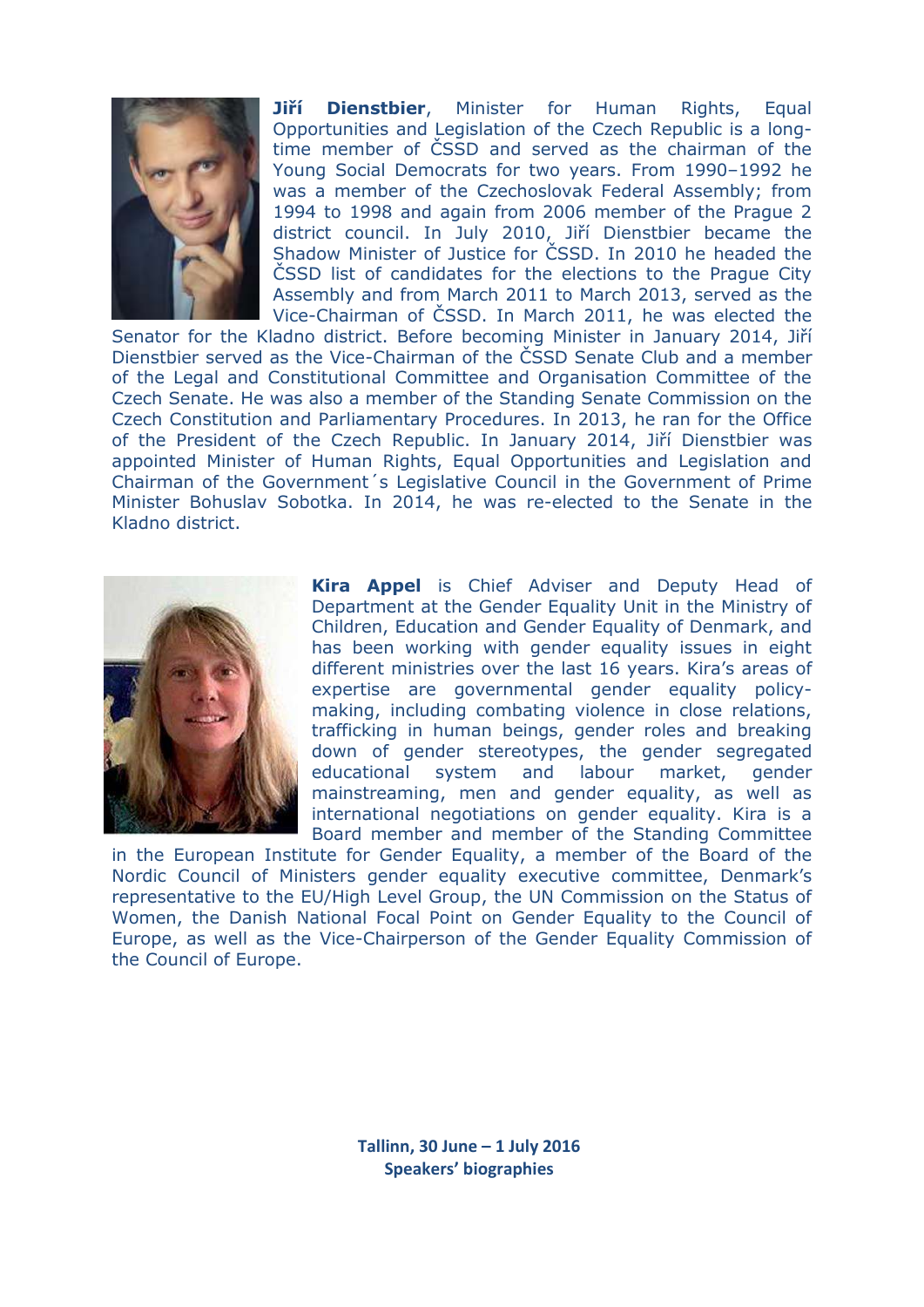

**Jiří Dienstbier**, Minister for Human Rights, Equal Opportunities and Legislation of the Czech Republic is a longtime member of ČSSD and served as the chairman of the Young Social Democrats for two years. From 1990–1992 he was a member of the Czechoslovak Federal Assembly; from 1994 to 1998 and again from 2006 member of the Prague 2 district council. In July 2010, Jiří Dienstbier became the Shadow Minister of Justice for ČSSD. In 2010 he headed the ČSSD list of candidates for the elections to the Prague City Assembly and from March 2011 to March 2013, served as the Vice-Chairman of ČSSD. In March 2011, he was elected the

Senator for the Kladno district. Before becoming Minister in January 2014, Jiří Dienstbier served as the Vice-Chairman of the ČSSD Senate Club and a member of the Legal and Constitutional Committee and Organisation Committee of the Czech Senate. He was also a member of the Standing Senate Commission on the Czech Constitution and Parliamentary Procedures. In 2013, he ran for the Office of the President of the Czech Republic. In January 2014, Jiří Dienstbier was appointed Minister of Human Rights, Equal Opportunities and Legislation and Chairman of the Government´s Legislative Council in the Government of Prime Minister Bohuslav Sobotka. In 2014, he was re-elected to the Senate in the Kladno district.



**Kira Appel** is Chief Adviser and Deputy Head of Department at the Gender Equality Unit in the Ministry of Children, Education and Gender Equality of Denmark, and has been working with gender equality issues in eight different ministries over the last 16 years. Kira's areas of expertise are governmental gender equality policymaking, including combating violence in close relations, trafficking in human beings, gender roles and breaking down of gender stereotypes, the gender segregated educational system and labour market, gender mainstreaming, men and gender equality, as well as international negotiations on gender equality. Kira is a Board member and member of the Standing Committee

in the European Institute for Gender Equality, a member of the Board of the Nordic Council of Ministers gender equality executive committee, Denmark's representative to the EU/High Level Group, the UN Commission on the Status of Women, the Danish National Focal Point on Gender Equality to the Council of Europe, as well as the Vice-Chairperson of the Gender Equality Commission of the Council of Europe.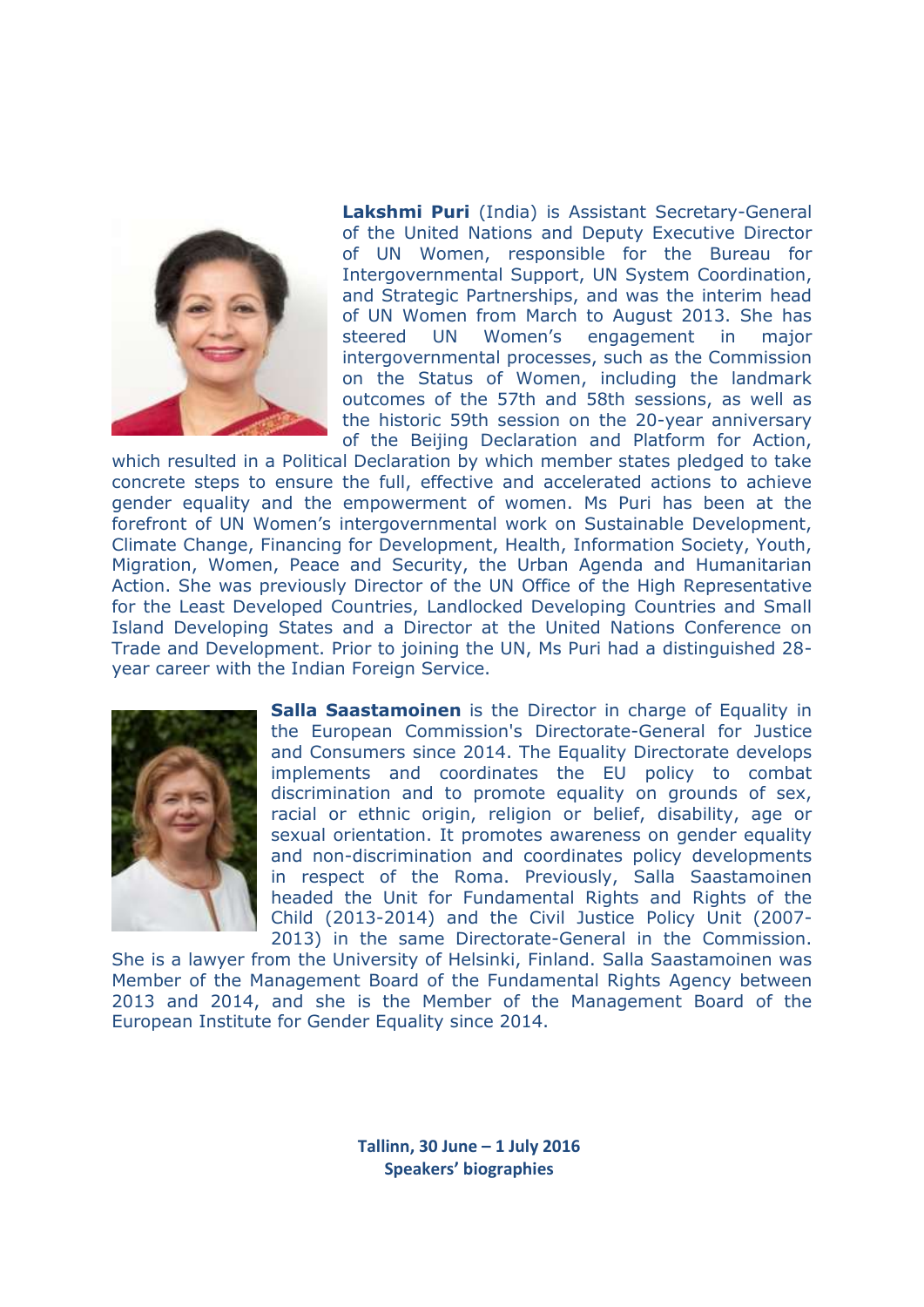

**Lakshmi Puri** (India) is Assistant Secretary-General of the United Nations and Deputy Executive Director of UN Women, responsible for the Bureau for Intergovernmental Support, UN System Coordination, and Strategic Partnerships, and was the interim head of UN Women from March to August 2013. She has steered UN Women's engagement in major intergovernmental processes, such as the Commission on the Status of Women, including the landmark outcomes of the 57th and 58th sessions, as well as the historic 59th session on the 20-year anniversary of the Beijing Declaration and Platform for Action,

which resulted in a Political Declaration by which member states pledged to take concrete steps to ensure the full, effective and accelerated actions to achieve gender equality and the empowerment of women. Ms Puri has been at the forefront of UN Women's intergovernmental work on Sustainable Development, Climate Change, Financing for Development, Health, Information Society, Youth, Migration, Women, Peace and Security, the Urban Agenda and Humanitarian Action. She was previously Director of the UN Office of the High Representative for the Least Developed Countries, Landlocked Developing Countries and Small Island Developing States and a Director at the United Nations Conference on Trade and Development. Prior to joining the UN, Ms Puri had a distinguished 28 year career with the Indian Foreign Service.



**Salla Saastamoinen** is the Director in charge of Equality in the European Commission's Directorate-General for Justice and Consumers since 2014. The Equality Directorate develops implements and coordinates the EU policy to combat discrimination and to promote equality on grounds of sex, racial or ethnic origin, religion or belief, disability, age or sexual orientation. It promotes awareness on gender equality and non-discrimination and coordinates policy developments in respect of the Roma. Previously, Salla Saastamoinen headed the Unit for Fundamental Rights and Rights of the Child (2013-2014) and the Civil Justice Policy Unit (2007- 2013) in the same Directorate-General in the Commission.

She is a lawyer from the University of Helsinki, Finland. Salla Saastamoinen was Member of the Management Board of the Fundamental Rights Agency between 2013 and 2014, and she is the Member of the Management Board of the European Institute for Gender Equality since 2014.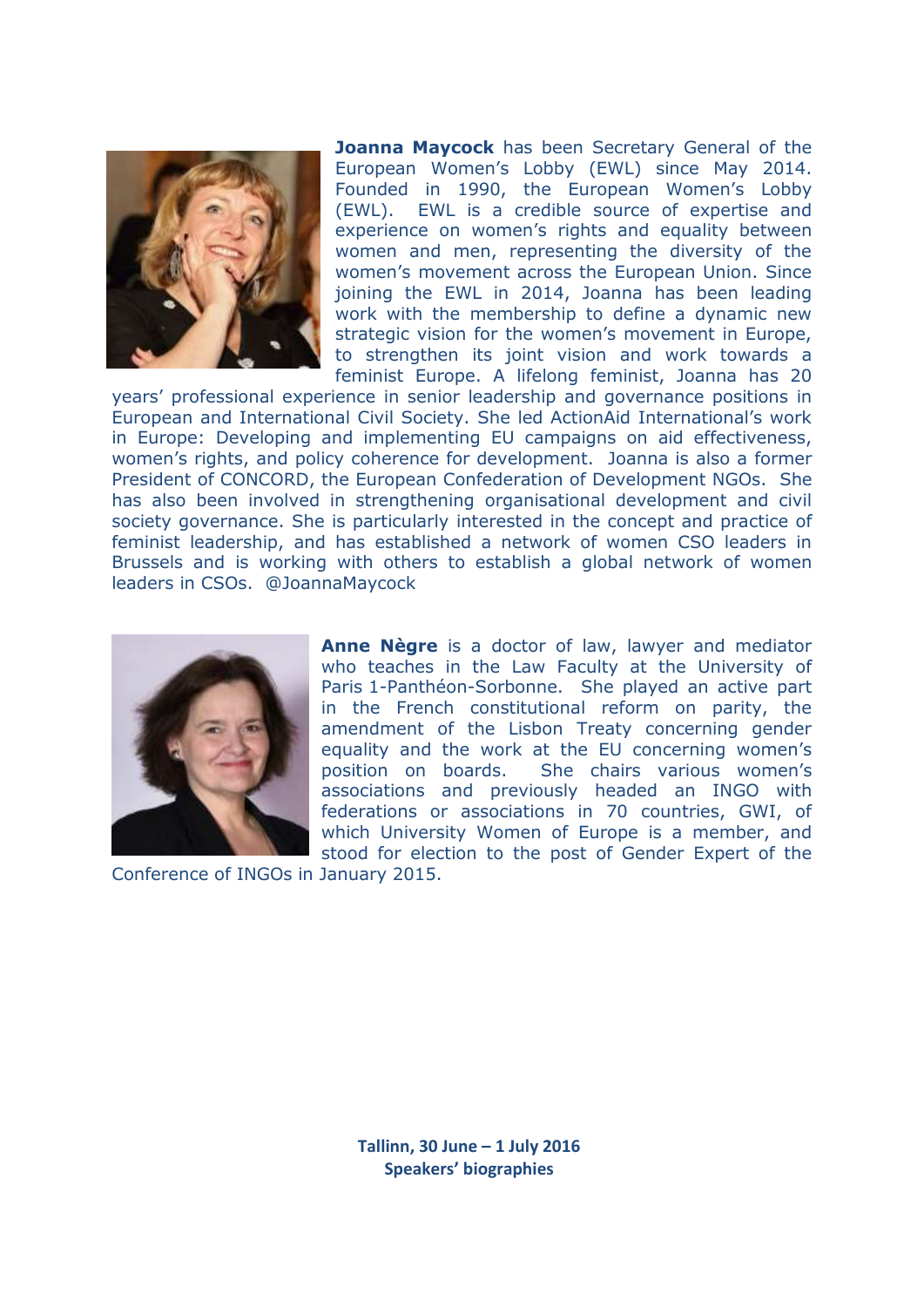

**Joanna Maycock** has been Secretary General of the European Women's Lobby (EWL) since May 2014. Founded in 1990, the European Women's Lobby (EWL). EWL is a credible source of expertise and experience on women's rights and equality between women and men, representing the diversity of the women's movement across the European Union. Since joining the EWL in 2014, Joanna has been leading work with the membership to define a dynamic new strategic vision for the women's movement in Europe, to strengthen its joint vision and work towards a feminist Europe. A lifelong feminist, Joanna has 20

years' professional experience in senior leadership and governance positions in European and International Civil Society. She led ActionAid International's work in Europe: Developing and implementing EU campaigns on aid effectiveness, women's rights, and policy coherence for development. Joanna is also a former President of CONCORD, the European Confederation of Development NGOs. She has also been involved in strengthening organisational development and civil society governance. She is particularly interested in the concept and practice of feminist leadership, and has established a network of women CSO leaders in Brussels and is working with others to establish a global network of women leaders in CSOs. @JoannaMaycock



**Anne Nègre** is a doctor of law, lawyer and mediator who teaches in the Law Faculty at the University of Paris 1-Panthéon-Sorbonne. She played an active part in the French constitutional reform on parity, the amendment of the Lisbon Treaty concerning gender equality and the work at the EU concerning women's position on boards. She chairs various women's associations and previously headed an INGO with federations or associations in 70 countries, GWI, of which University Women of Europe is a member, and stood for election to the post of Gender Expert of the

Conference of INGOs in January 2015.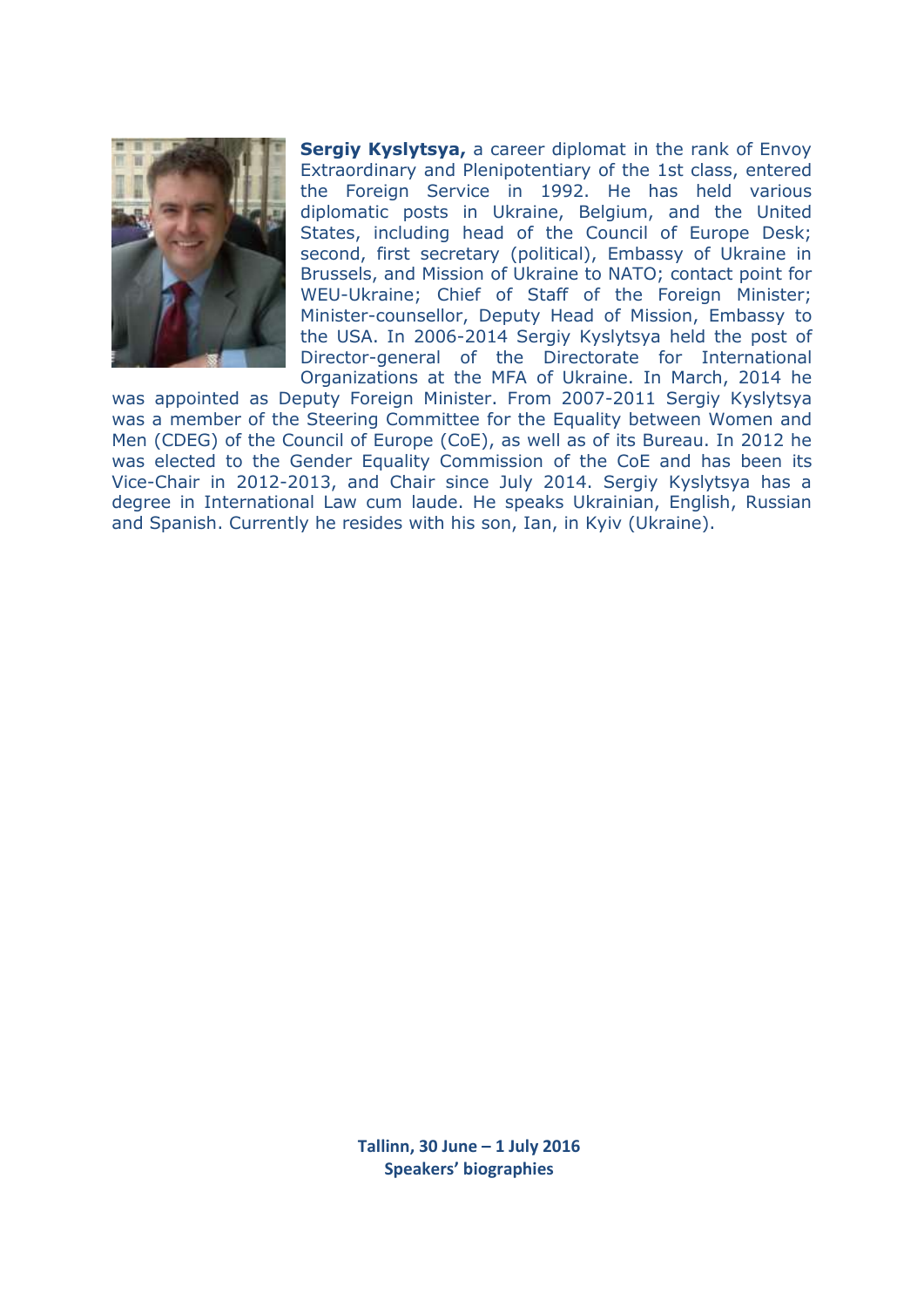

**Sergiy Kyslytsya,** a career diplomat in the rank of Envoy Extraordinary and Plenipotentiary of the 1st class, entered the Foreign Service in 1992. He has held various diplomatic posts in Ukraine, Belgium, and the United States, including head of the Council of Europe Desk; second, first secretary (political), Embassy of Ukraine in Brussels, and Mission of Ukraine to NATO; contact point for WEU-Ukraine; Chief of Staff of the Foreign Minister; Minister-counsellor, Deputy Head of Mission, Embassy to the USA. In 2006-2014 Sergiy Kyslytsya held the post of Director-general of the Directorate for International Organizations at the MFA of Ukraine. In March, 2014 he

was appointed as Deputy Foreign Minister. From 2007-2011 Sergiy Kyslytsya was a member of the Steering Committee for the Equality between Women and Men (CDEG) of the Council of Europe (CoE), as well as of its Bureau. In 2012 he was elected to the Gender Equality Commission of the CoE and has been its Vice-Chair in 2012-2013, and Chair since July 2014. Sergiy Kyslytsya has a degree in International Law cum laude. He speaks Ukrainian, English, Russian and Spanish. Currently he resides with his son, Ian, in Kyiv (Ukraine).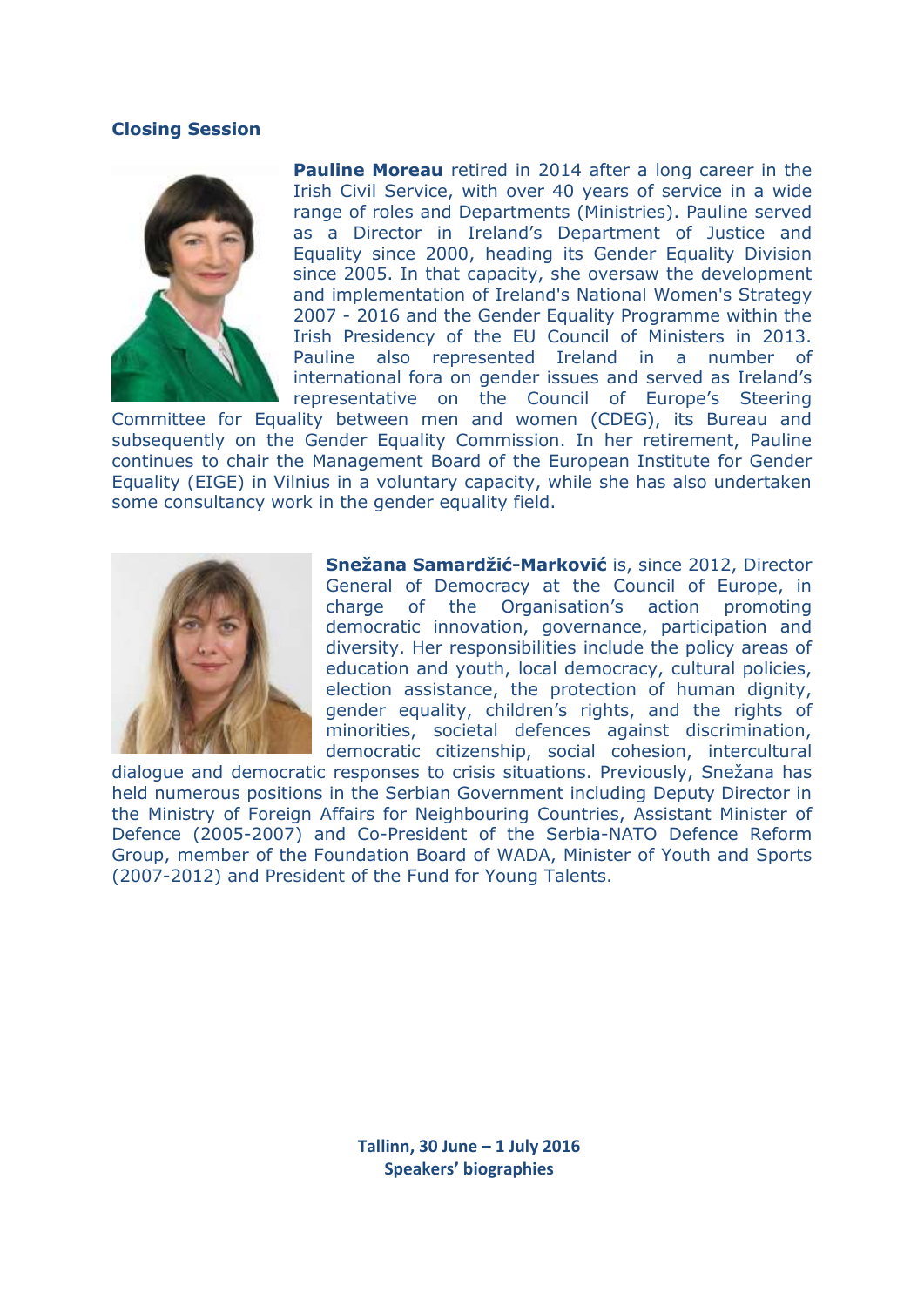### **Closing Session**



**Pauline Moreau** retired in 2014 after a long career in the Irish Civil Service, with over 40 years of service in a wide range of roles and Departments (Ministries). Pauline served as a Director in Ireland's Department of Justice and Equality since 2000, heading its Gender Equality Division since 2005. In that capacity, she oversaw the development and implementation of Ireland's National Women's Strategy 2007 - 2016 and the Gender Equality Programme within the Irish Presidency of the EU Council of Ministers in 2013. Pauline also represented Ireland in a number of international fora on gender issues and served as Ireland's representative on the Council of Europe's Steering

Committee for Equality between men and women (CDEG), its Bureau and subsequently on the Gender Equality Commission. In her retirement, Pauline continues to chair the Management Board of the European Institute for Gender Equality (EIGE) in Vilnius in a voluntary capacity, while she has also undertaken some consultancy work in the gender equality field.



**Snežana Samardžić-Marković** is, since 2012, Director General of Democracy at the Council of Europe, in charge of the Organisation's action promoting democratic innovation, governance, participation and diversity. Her responsibilities include the policy areas of education and youth, local democracy, cultural policies, election assistance, the protection of human dignity, gender equality, children's rights, and the rights of minorities, societal defences against discrimination, democratic citizenship, social cohesion, intercultural

dialogue and democratic responses to crisis situations. Previously, Snežana has held numerous positions in the Serbian Government including Deputy Director in the Ministry of Foreign Affairs for Neighbouring Countries, Assistant Minister of Defence (2005-2007) and Co-President of the Serbia-NATO Defence Reform Group, member of the Foundation Board of WADA, Minister of Youth and Sports (2007-2012) and President of the Fund for Young Talents.